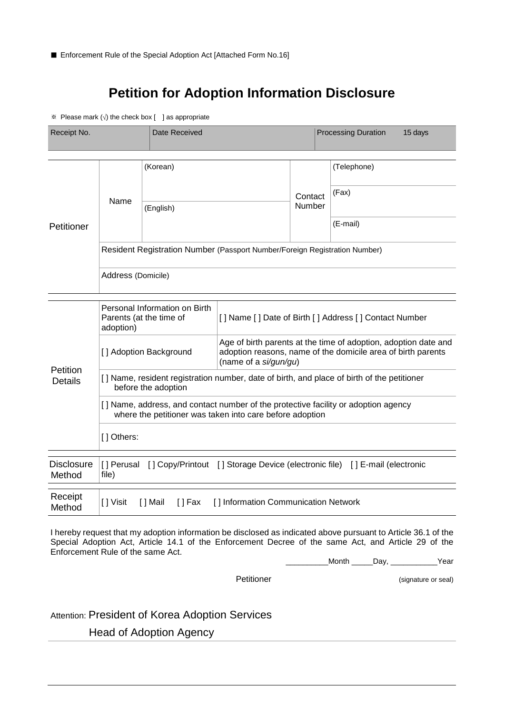## **Petition for Adoption Information Disclosure**

※ Please mark (√) the check box [ ] as appropriate

| Receipt No.                 |                                                                                                                                                | Date Received           |                                                                                                                                                          |                   |  | <b>Processing Duration</b><br>15 days                                                 |  |
|-----------------------------|------------------------------------------------------------------------------------------------------------------------------------------------|-------------------------|----------------------------------------------------------------------------------------------------------------------------------------------------------|-------------------|--|---------------------------------------------------------------------------------------|--|
|                             | Name                                                                                                                                           | (Korean)                |                                                                                                                                                          |                   |  | (Telephone)                                                                           |  |
| Petitioner                  |                                                                                                                                                | (English)               |                                                                                                                                                          | Contact<br>Number |  | (Fax)                                                                                 |  |
|                             |                                                                                                                                                |                         |                                                                                                                                                          |                   |  | (E-mail)                                                                              |  |
|                             | Resident Registration Number (Passport Number/Foreign Registration Number)                                                                     |                         |                                                                                                                                                          |                   |  |                                                                                       |  |
|                             | Address (Domicile)                                                                                                                             |                         |                                                                                                                                                          |                   |  |                                                                                       |  |
| Petition<br><b>Details</b>  | Personal Information on Birth<br>Parents (at the time of<br>adoption)                                                                          |                         | [] Name [] Date of Birth [] Address [] Contact Number                                                                                                    |                   |  |                                                                                       |  |
|                             | [] Adoption Background                                                                                                                         |                         | Age of birth parents at the time of adoption, adoption date and<br>adoption reasons, name of the domicile area of birth parents<br>(name of a si/gun/gu) |                   |  |                                                                                       |  |
|                             | [] Name, resident registration number, date of birth, and place of birth of the petitioner<br>before the adoption                              |                         |                                                                                                                                                          |                   |  |                                                                                       |  |
|                             | [] Name, address, and contact number of the protective facility or adoption agency<br>where the petitioner was taken into care before adoption |                         |                                                                                                                                                          |                   |  |                                                                                       |  |
|                             | [] Others:                                                                                                                                     |                         |                                                                                                                                                          |                   |  |                                                                                       |  |
| <b>Disclosure</b><br>Method | file)                                                                                                                                          |                         |                                                                                                                                                          |                   |  | [] Perusal [] Copy/Printout [] Storage Device (electronic file) [] E-mail (electronic |  |
| Receipt<br>Method           | [ ] Visit                                                                                                                                      | [ ] Mail<br>$[$ $]$ Fax | [] Information Communication Network                                                                                                                     |                   |  |                                                                                       |  |

I hereby request that my adoption information be disclosed as indicated above pursuant to Article 36.1 of the Special Adoption Act, Article 14.1 of the Enforcement Decree of the same Act, and Article 29 of the Enforcement Rule of the same Act.

\_\_\_\_\_\_\_\_\_\_Month \_\_\_\_\_Day, \_\_\_\_\_\_\_\_\_\_\_Year

Petitioner (signature or seal)

Attention: President of Korea Adoption Services

Head of Adoption Agency